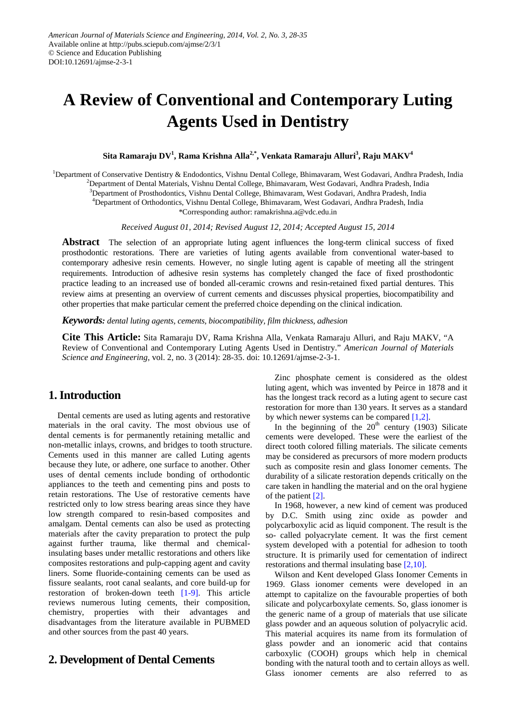# **A Review of Conventional and Contemporary Luting Agents Used in Dentistry**

 $\boldsymbol{\mathrm{S}}$ ita Ramaraju DV $^{1}$ , Rama Krishna Alla $^{2,*}$ , Venkata Ramaraju Alluri $^{3}$ , Raju MAKV $^{4}$ 

<sup>1</sup>Department of Conservative Dentistry & Endodontics, Vishnu Dental College, Bhimavaram, West Godavari, Andhra Pradesh, India

2 Department of Dental Materials, Vishnu Dental College, Bhimavaram, West Godavari, Andhra Pradesh, India

3 Department of Prosthodontics, Vishnu Dental College, Bhimavaram, West Godavari, Andhra Pradesh, India

4 Department of Orthodontics, Vishnu Dental College, Bhimavaram, West Godavari, Andhra Pradesh, India

\*Corresponding author: ramakrishna.a@vdc.edu.in

*Received August 01, 2014; Revised August 12, 2014; Accepted August 15, 2014*

**Abstract** The selection of an appropriate luting agent influences the long-term clinical success of fixed prosthodontic restorations. There are varieties of luting agents available from conventional water-based to contemporary adhesive resin cements. However, no single luting agent is capable of meeting all the stringent requirements. Introduction of adhesive resin systems has completely changed the face of fixed prosthodontic practice leading to an increased use of bonded all-ceramic crowns and resin-retained fixed partial dentures. This review aims at presenting an overview of current cements and discusses physical properties, biocompatibility and other properties that make particular cement the preferred choice depending on the clinical indication.

*Keywords: dental luting agents, cements, biocompatibility, film thickness, adhesion*

**Cite This Article:** Sita Ramaraju DV, Rama Krishna Alla, Venkata Ramaraju Alluri, and Raju MAKV, "A Review of Conventional and Contemporary Luting Agents Used in Dentistry." *American Journal of Materials Science and Engineering*, vol. 2, no. 3 (2014): 28-35. doi: 10.12691/ajmse-2-3-1.

# **1. Introduction**

Dental cements are used as luting agents and restorative materials in the oral cavity. The most obvious use of dental cements is for permanently retaining metallic and non-metallic inlays, crowns, and bridges to tooth structure. Cements used in this manner are called Luting agents because they lute, or adhere, one surface to another. Other uses of dental cements include bonding of orthodontic appliances to the teeth and cementing pins and posts to retain restorations. The Use of restorative cements have restricted only to low stress bearing areas since they have low strength compared to resin-based composites and amalgam. Dental cements can also be used as protecting materials after the cavity preparation to protect the pulp against further trauma, like thermal and chemicalinsulating bases under metallic restorations and others like composites restorations and pulp-capping agent and cavity liners. Some fluoride-containing cements can be used as fissure sealants, root canal sealants, and core build-up for restoration of broken-down teeth [\[1-9\].](#page-5-0) This article reviews numerous luting cements, their composition, chemistry, properties with their advantages and disadvantages from the literature available in PUBMED and other sources from the past 40 years.

# **2. Development of Dental Cements**

Zinc phosphate cement is considered as the oldest luting agent, which was invented by Peirce in 1878 and it has the longest track record as a luting agent to secure cast restoration for more than 130 years. It serves as a standard by which newer systems can be compared  $[1,2]$ .

In the beginning of the  $20<sup>th</sup>$  century (1903) Silicate cements were developed. These were the earliest of the direct tooth colored filling materials. The silicate cements may be considered as precursors of more modern products such as composite resin and glass Ionomer cements. The durability of a silicate restoration depends critically on the care taken in handling the material and on the oral hygiene of the patient [\[2\].](#page-5-1)

In 1968, however, a new kind of cement was produced by D.C. Smith using zinc oxide as powder and polycarboxylic acid as liquid component. The result is the so- called polyacrylate cement. It was the first cement system developed with a potential for adhesion to tooth structure. It is primarily used for cementation of indirect restorations and thermal insulating base [\[2,10\].](#page-5-1)

Wilson and Kent developed Glass Ionomer Cements in 1969. Glass ionomer cements were developed in an attempt to capitalize on the favourable properties of both silicate and polycarboxylate cements. So, glass ionomer is the generic name of a group of materials that use silicate glass powder and an aqueous solution of polyacrylic acid. This material acquires its name from its formulation of glass powder and an ionomeric acid that contains carboxylic (COOH) groups which help in chemical bonding with the natural tooth and to certain alloys as well. Glass ionomer cements are also referred to as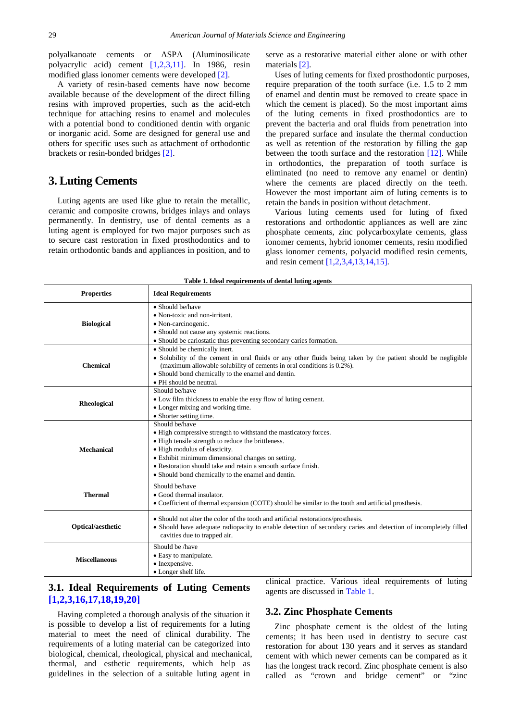polyalkanoate cements or ASPA (Aluminosilicate polyacrylic acid) cement [\[1,2,3,11\].](#page-5-0) In 1986, resin modified glass ionomer cements were developed [\[2\].](#page-5-1)

A variety of resin-based cements have now become available because of the development of the direct filling resins with improved properties, such as the acid-etch technique for attaching resins to enamel and molecules with a potential bond to conditioned dentin with organic or inorganic acid. Some are designed for general use and others for specific uses such as attachment of orthodontic brackets or resin-bonded bridges [\[2\].](#page-5-1)

## **3. Luting Cements**

Luting agents are used like glue to retain the metallic, ceramic and composite crowns, bridges inlays and onlays permanently. In dentistry, use of dental cements as a luting agent is employed for two major purposes such as to secure cast restoration in fixed prosthodontics and to retain orthodontic bands and appliances in position, and to

serve as a restorative material either alone or with other materials [\[2\].](#page-5-1)

Uses of luting cements for fixed prosthodontic purposes, require preparation of the tooth surface (i.e. 1.5 to 2 mm of enamel and dentin must be removed to create space in which the cement is placed). So the most important aims of the luting cements in fixed prosthodontics are to prevent the bacteria and oral fluids from penetration into the prepared surface and insulate the thermal conduction as well as retention of the restoration by filling the gap between the tooth surface and the restoration [\[12\].](#page-6-0) While in orthodontics, the preparation of tooth surface is eliminated (no need to remove any enamel or dentin) where the cements are placed directly on the teeth. However the most important aim of luting cements is to retain the bands in position without detachment.

Various luting cements used for luting of fixed restorations and orthodontic appliances as well are zinc phosphate cements, zinc polycarboxylate cements, glass ionomer cements, hybrid ionomer cements, resin modified glass ionomer cements, polyacid modified resin cements, and resin cement [\[1,2,3,4,13,14,15\].](#page-5-0)

<span id="page-1-0"></span>

| <b>Properties</b>    | <b>Ideal Requirements</b>                                                                                                                                                                                                                                                                                                                             |
|----------------------|-------------------------------------------------------------------------------------------------------------------------------------------------------------------------------------------------------------------------------------------------------------------------------------------------------------------------------------------------------|
| <b>Biological</b>    | • Should be/have<br>• Non-toxic and non-irritant.<br>• Non-carcinogenic.<br>• Should not cause any systemic reactions.<br>• Should be cariostatic thus preventing secondary caries formation.                                                                                                                                                         |
| <b>Chemical</b>      | • Should be chemically inert.<br>• Solubility of the cement in oral fluids or any other fluids being taken by the patient should be negligible<br>(maximum allowable solubility of cements in oral conditions is 0.2%).<br>• Should bond chemically to the enamel and dentin.<br>• PH should be neutral.                                              |
| Rheological          | Should be/have<br>• Low film thickness to enable the easy flow of luting cement.<br>• Longer mixing and working time.<br>• Shorter setting time.                                                                                                                                                                                                      |
| <b>Mechanical</b>    | Should be/have<br>• High compressive strength to withstand the masticatory forces.<br>• High tensile strength to reduce the brittleness.<br>• High modulus of elasticity.<br>• Exhibit minimum dimensional changes on setting.<br>• Restoration should take and retain a smooth surface finish.<br>• Should bond chemically to the enamel and dentin. |
| <b>Thermal</b>       | Should be/have<br>• Good thermal insulator.<br>• Coefficient of thermal expansion (COTE) should be similar to the tooth and artificial prosthesis.                                                                                                                                                                                                    |
| Optical/aesthetic    | • Should not alter the color of the tooth and artificial restorations/prosthesis.<br>• Should have adequate radiopacity to enable detection of secondary caries and detection of incompletely filled<br>cavities due to trapped air.                                                                                                                  |
| <b>Miscellaneous</b> | Should be /have<br>• Easy to manipulate.<br>• Inexpensive.<br>• Longer shelf life.                                                                                                                                                                                                                                                                    |

#### **Table 1. Ideal requirements of dental luting agents**

# **3.1. Ideal Requirements of Luting Cements [\[1,2,3,16,17,18,19,20\]](#page-5-0)**

Having completed a thorough analysis of the situation it is possible to develop a list of requirements for a luting material to meet the need of clinical durability. The requirements of a luting material can be categorized into biological, chemical, rheological, physical and mechanical, thermal, and esthetic requirements, which help as guidelines in the selection of a suitable luting agent in

clinical practice. Various ideal requirements of luting agents are discussed in [Table 1.](#page-1-0)

## **3.2. Zinc Phosphate Cements**

Zinc phosphate cement is the oldest of the luting cements; it has been used in dentistry to secure cast restoration for about 130 years and it serves as standard cement with which newer cements can be compared as it has the longest track record. Zinc phosphate cement is also called as "crown and bridge cement" or "zinc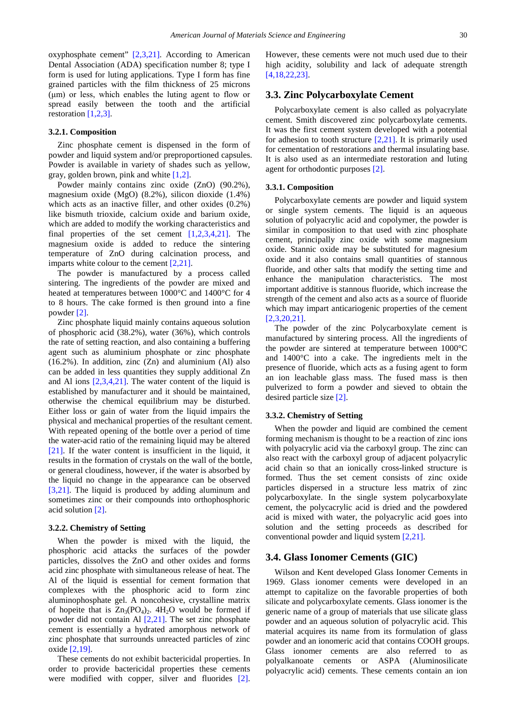oxyphosphate cement" [\[2,3,21\].](#page-5-1) According to American Dental Association (ADA) specification number 8; type I form is used for luting applications. Type I form has fine grained particles with the film thickness of 25 microns (μm) or less, which enables the luting agent to flow or spread easily between the tooth and the artificial restoration [\[1,2,3\].](#page-5-0)

#### **3.2.1. Composition**

Zinc phosphate cement is dispensed in the form of powder and liquid system and/or preproportioned capsules. Powder is available in variety of shades such as yellow, gray, golden brown, pink and white [\[1,2\].](#page-5-0)

Powder mainly contains zinc oxide (ZnO) (90.2%), magnesium oxide (MgO) (8.2%), silicon dioxide (1.4%) which acts as an inactive filler, and other oxides  $(0.2\%)$ like bismuth trioxide, calcium oxide and barium oxide, which are added to modify the working characteristics and final properties of the set cement [\[1,2,3,4,21\].](#page-5-0) The magnesium oxide is added to reduce the sintering temperature of ZnO during calcination process, and imparts white colour to the cement [\[2,21\].](#page-5-1)

The powder is manufactured by a process called sintering. The ingredients of the powder are mixed and heated at temperatures between 1000°C and 1400°C for 4 to 8 hours. The cake formed is then ground into a fine powder [\[2\].](#page-5-1)

Zinc phosphate liquid mainly contains aqueous solution of phosphoric acid (38.2%), water (36%), which controls the rate of setting reaction, and also containing a buffering agent such as aluminium phosphate or zinc phosphate  $(16.2\%)$ . In addition, zinc  $(Zn)$  and aluminium  $(Al)$  also can be added in less quantities they supply additional Zn and Al ions [\[2,3,4,21\].](#page-5-1) The water content of the liquid is established by manufacturer and it should be maintained, otherwise the chemical equilibrium may be disturbed. Either loss or gain of water from the liquid impairs the physical and mechanical properties of the resultant cement. With repeated opening of the bottle over a period of time the water-acid ratio of the remaining liquid may be altered [\[21\].](#page-6-1) If the water content is insufficient in the liquid, it results in the formation of crystals on the wall of the bottle, or general cloudiness, however, if the water is absorbed by the liquid no change in the appearance can be observed [\[3,21\].](#page-5-2) The liquid is produced by adding aluminum and sometimes zinc or their compounds into orthophosphoric acid solution [\[2\].](#page-5-1)

#### **3.2.2. Chemistry of Setting**

When the powder is mixed with the liquid, the phosphoric acid attacks the surfaces of the powder particles, dissolves the ZnO and other oxides and forms acid zinc phosphate with simultaneous release of heat. The Al of the liquid is essential for cement formation that complexes with the phosphoric acid to form zinc aluminophosphate gel. A noncohesive, crystalline matrix of hopeite that is  $Zn_3(PO_4)_2$ .  $4H_2O$  would be formed if powder did not contain Al  $[2,21]$ . The set zinc phosphate cement is essentially a hydrated amorphous network of zinc phosphate that surrounds unreacted particles of zinc oxide [\[2,19\].](#page-5-1)

These cements do not exhibit bactericidal properties. In order to provide bactericidal properties these cements were modified with copper, silver and fluorides [\[2\].](#page-5-1) However, these cements were not much used due to their high acidity, solubility and lack of adequate strength [\[4,18,22,23\].](#page-5-3)

## **3.3. Zinc Polycarboxylate Cement**

Polycarboxylate cement is also called as polyacrylate cement. Smith discovered zinc polycarboxylate cements. It was the first cement system developed with a potential for adhesion to tooth structure  $[2,21]$ . It is primarily used for cementation of restorations and thermal insulating base. It is also used as an intermediate restoration and luting agent for orthodontic purposes [\[2\].](#page-5-1)

#### **3.3.1. Composition**

Polycarboxylate cements are powder and liquid system or single system cements. The liquid is an aqueous solution of polyacrylic acid and copolymer, the powder is similar in composition to that used with zinc phosphate cement, principally zinc oxide with some magnesium oxide. Stannic oxide may be substituted for magnesium oxide and it also contains small quantities of stannous fluoride, and other salts that modify the setting time and enhance the manipulation characteristics. The most important additive is stannous fluoride, which increase the strength of the cement and also acts as a source of fluoride which may impart anticariogenic properties of the cement [\[2,3,20,21\].](#page-5-1)

The powder of the zinc Polycarboxylate cement is manufactured by sintering process. All the ingredients of the powder are sintered at temperature between 1000°C and 1400°C into a cake. The ingredients melt in the presence of fluoride, which acts as a fusing agent to form an ion leachable glass mass. The fused mass is then pulverized to form a powder and sieved to obtain the desired particle size [\[2\].](#page-5-1)

#### **3.3.2. Chemistry of Setting**

When the powder and liquid are combined the cement forming mechanism is thought to be a reaction of zinc ions with polyacrylic acid via the carboxyl group. The zinc can also react with the carboxyl group of adjacent polyacrylic acid chain so that an ionically cross-linked structure is formed. Thus the set cement consists of zinc oxide particles dispersed in a structure less matrix of zinc polycarboxylate. In the single system polycarboxylate cement, the polycacrylic acid is dried and the powdered acid is mixed with water, the polyacrylic acid goes into solution and the setting proceeds as described for conventional powder and liquid system [\[2,21\].](#page-5-1)

#### **3.4. Glass Ionomer Cements (GIC)**

Wilson and Kent developed Glass Ionomer Cements in 1969. Glass ionomer cements were developed in an attempt to capitalize on the favorable properties of both silicate and polycarboxylate cements. Glass ionomer is the generic name of a group of materials that use silicate glass powder and an aqueous solution of polyacrylic acid. This material acquires its name from its formulation of glass powder and an ionomeric acid that contains COOH groups. Glass ionomer cements are also referred to as polyalkanoate cements or ASPA (Aluminosilicate polyacrylic acid) cements. These cements contain an ion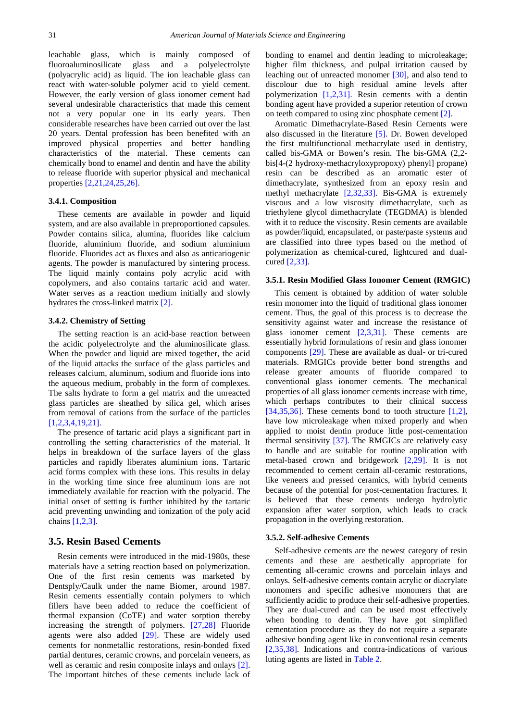leachable glass, which is mainly composed of fluoroaluminosilicate glass and a polyelectrolyte (polyacrylic acid) as liquid. The ion leachable glass can react with water-soluble polymer acid to yield cement. However, the early version of glass ionomer cement had several undesirable characteristics that made this cement not a very popular one in its early years. Then considerable researches have been carried out over the last 20 years. Dental profession has been benefited with an improved physical properties and better handling characteristics of the material. These cements can chemically bond to enamel and dentin and have the ability to release fluoride with superior physical and mechanical properties [\[2,21,24,25,26\].](#page-5-1)

### **3.4.1. Composition**

These cements are available in powder and liquid system, and are also available in preproportioned capsules. Powder contains silica, alumina, fluorides like calcium fluoride, aluminium fluoride, and sodium aluminium fluoride. Fluorides act as fluxes and also as anticariogenic agents. The powder is manufactured by sintering process. The liquid mainly contains poly acrylic acid with copolymers, and also contains tartaric acid and water. Water serves as a reaction medium initially and slowly hydrates the cross-linked matrix [\[2\].](#page-5-1)

#### **3.4.2. Chemistry of Setting**

The setting reaction is an acid-base reaction between the acidic polyelectrolyte and the aluminosilicate glass. When the powder and liquid are mixed together, the acid of the liquid attacks the surface of the glass particles and releases calcium, aluminum, sodium and fluoride ions into the aqueous medium, probably in the form of complexes. The salts hydrate to form a gel matrix and the unreacted glass particles are sheathed by silica gel, which arises from removal of cations from the surface of the particles [\[1,2,3,4,19,21\].](#page-5-0)

The presence of tartaric acid plays a significant part in controlling the setting characteristics of the material. It helps in breakdown of the surface layers of the glass particles and rapidly liberates aluminium ions. Tartaric acid forms complex with these ions. This results in delay in the working time since free aluminum ions are not immediately available for reaction with the polyacid. The initial onset of setting is further inhibited by the tartaric acid preventing unwinding and ionization of the poly acid chain[s \[1,2,3\].](#page-5-0)

## **3.5. Resin Based Cements**

Resin cements were introduced in the mid-1980s, these materials have a setting reaction based on polymerization. One of the first resin cements was marketed by Dentsply/Caulk under the name Biomer, around 1987. Resin cements essentially contain polymers to which fillers have been added to reduce the coefficient of thermal expansion (CoTE) and water sorption thereby increasing the strength of polymers. [\[27,28\]](#page-6-2) Fluoride agents were also added [\[29\].](#page-6-3) These are widely used cements for nonmetallic restorations, resin-bonded fixed partial dentures, ceramic crowns, and porcelain veneers, as well as ceramic and resin composite inlays and onlays [\[2\].](#page-5-1) The important hitches of these cements include lack of bonding to enamel and dentin leading to microleakage; higher film thickness, and pulpal irritation caused by leaching out of unreacted monomer [\[30\],](#page-6-4) and also tend to discolour due to high residual amine levels after polymerization [\[1,2,31\].](#page-5-0) Resin cements with a dentin bonding agent have provided a superior retention of crown on teeth compared to using zinc phosphate cemen[t \[2\].](#page-5-1)

Aromatic Dimethacrylate-Based Resin Cements were also discussed in the literature [\[5\].](#page-5-4) Dr. Bowen developed the first multifunctional methacrylate used in dentistry, called bis-GMA or Bowen's resin. The bis-GMA (2,2 bis[4-(2 hydroxy-methacryloxypropoxy) phenyl] propane) resin can be described as an aromatic ester of dimethacrylate, synthesized from an epoxy resin and methyl methacrylate [\[2,32,33\].](#page-5-1) Bis-GMA is extremely viscous and a low viscosity dimethacrylate, such as triethylene glycol dimethacrylate (TEGDMA) is blended with it to reduce the viscosity. Resin cements are available as powder/liquid, encapsulated, or paste/paste systems and are classified into three types based on the method of polymerization as chemical-cured, lightcured and dualcured [\[2,33\].](#page-5-1)

#### **3.5.1. Resin Modified Glass Ionomer Cement (RMGIC)**

This cement is obtained by addition of water soluble resin monomer into the liquid of traditional glass ionomer cement. Thus, the goal of this process is to decrease the sensitivity against water and increase the resistance of glass ionomer cement [\[2,3,31\].](#page-5-1) These cements are essentially hybrid formulations of resin and glass ionomer components [\[29\].](#page-6-3) These are available as dual- or tri-cured materials. RMGICs provide better bond strengths and release greater amounts of fluoride compared to conventional glass ionomer cements. The mechanical properties of all glass ionomer cements increase with time, which perhaps contributes to their clinical success [\[34,35,36\].](#page-6-5) These cements bond to tooth structure  $[1,2]$ , have low microleakage when mixed properly and when applied to moist dentin produce little post-cementation thermal sensitivity [\[37\].](#page-6-6) The RMGICs are relatively easy to handle and are suitable for routine application with metal-based crown and bridgework [\[2,29\].](#page-5-1) It is not recommended to cement certain all-ceramic restorations, like veneers and pressed ceramics, with hybrid cements because of the potential for post-cementation fractures. It is believed that these cements undergo hydrolytic expansion after water sorption, which leads to crack propagation in the overlying restoration.

#### **3.5.2. Self-adhesive Cements**

Self-adhesive cements are the newest category of resin cements and these are aesthetically appropriate for cementing all-ceramic crowns and porcelain inlays and onlays. Self-adhesive cements contain acrylic or diacrylate monomers and specific adhesive monomers that are sufficiently acidic to produce their self-adhesive properties. They are dual-cured and can be used most effectively when bonding to dentin. They have got simplified cementation procedure as they do not require a separate adhesive bonding agent like in conventional resin cements [\[2,35,38\].](#page-5-1) Indications and contra-indications of various luting agents are listed in [Table 2.](#page-4-0)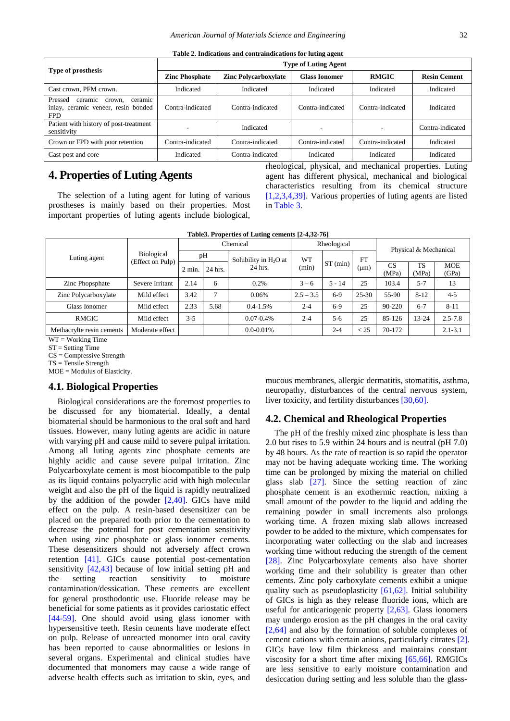<span id="page-4-0"></span>

| Type of prosthesis                                                                           | <b>Type of Luting Agent</b> |                             |                      |                  |                     |  |  |
|----------------------------------------------------------------------------------------------|-----------------------------|-----------------------------|----------------------|------------------|---------------------|--|--|
|                                                                                              | <b>Zinc Phosphate</b>       | <b>Zinc Polycarboxylate</b> | <b>Glass Ionomer</b> | <b>RMGIC</b>     | <b>Resin Cement</b> |  |  |
| Cast crown, PFM crown.                                                                       | Indicated                   | Indicated                   | Indicated            | Indicated        | Indicated           |  |  |
| Pressed<br>ceramic<br>ceramic<br>crown.<br>inlay, ceramic veneer, resin bonded<br><b>FPD</b> | Contra-indicated            | Contra-indicated            | Contra-indicated     | Contra-indicated | Indicated           |  |  |
| Patient with history of post-treatment<br>sensitivity                                        |                             | Indicated                   | ٠                    |                  | Contra-indicated    |  |  |
| Crown or FPD with poor retention                                                             | Contra-indicated            | Contra-indicated            | Contra-indicated     | Contra-indicated | Indicated           |  |  |
| Cast post and core                                                                           | Indicated                   | Contra-indicated            | Indicated            | Indicated        | Indicated           |  |  |

**Table 2. Indications and contraindications for luting agent** 

# **4. Properties of Luting Agents**

The selection of a luting agent for luting of various prostheses is mainly based on their properties. Most important properties of luting agents include biological,

rheological, physical, and mechanical properties. Luting agent has different physical, mechanical and biological characteristics resulting from its chemical structure [\[1,2,3,4,39\].](#page-5-0) Various properties of luting agents are listed in [Table 3.](#page-4-1)

|  |  |  |  | Table3. Properties of Luting cements [2-4,32-76] |
|--|--|--|--|--------------------------------------------------|
|--|--|--|--|--------------------------------------------------|

<span id="page-4-1"></span>

|                           |                                       | Chemical        |         | Rheological             |             |          | Physical & Mechanical |                          |             |                     |
|---------------------------|---------------------------------------|-----------------|---------|-------------------------|-------------|----------|-----------------------|--------------------------|-------------|---------------------|
| Luting agent              | <b>Biological</b><br>(Effect on Pulp) | pH              |         | Solubility in $H_2O$ at | <b>WT</b>   |          | <b>FT</b>             |                          |             |                     |
|                           |                                       | $2 \text{ min}$ | 24 hrs. | 24 hrs.                 | (min)       | ST (min) | $(\mu m)$             | CS <sup>S</sup><br>(MPa) | TS<br>(MPa) | <b>MOE</b><br>(GPa) |
| Zinc Phopsphate           | Severe Irritant                       | 2.14            | 6       | 0.2%                    | $3 - 6$     | $5 - 14$ | 25                    | 103.4                    | $5 - 7$     | 13                  |
| Zinc Polycarboxylate      | Mild effect                           | 3.42            |         | 0.06%                   | $2.5 - 3.5$ | $6-9$    | 25-30                 | 55-90                    | $8 - 12$    | $4 - 5$             |
| Glass Ionomer             | Mild effect                           | 2.33            | 5.68    | $0.4 - 1.5%$            | $2 - 4$     | $6-9$    | 25                    | 90-220                   | $6-7$       | $8 - 11$            |
| <b>RMGIC</b>              | Mild effect                           | $3 - 5$         |         | $0.07 - 0.4\%$          | $2 - 4$     | $5 - 6$  | 25                    | 85-126                   | $13 - 24$   | $2.5 - 7.8$         |
| Methacrylte resin cements | Moderate effect                       |                 |         | $0.0 - 0.01\%$          |             | $2 - 4$  | $<$ 25                | 70-172                   |             | $2.1 - 3.1$         |

 $WT = Working Time$ 

ST = Setting Time

 $CS = Compressive$  Strength

 $TS = Tensile$  Strength

MOE = Modulus of Elasticity.

#### **4.1. Biological Properties**

Biological considerations are the foremost properties to be discussed for any biomaterial. Ideally, a dental biomaterial should be harmonious to the oral soft and hard tissues. However, many luting agents are acidic in nature with varying pH and cause mild to severe pulpal irritation. Among all luting agents zinc phosphate cements are highly acidic and cause severe pulpal irritation. Zinc Polycarboxylate cement is most biocompatible to the pulp as its liquid contains polyacrylic acid with high molecular weight and also the pH of the liquid is rapidly neutralized by the addition of the powder  $[2,40]$ . GICs have mild effect on the pulp. A resin-based desensitizer can be placed on the prepared tooth prior to the cementation to decrease the potential for post cementation sensitivity when using zinc phosphate or glass ionomer cements. These desensitizers should not adversely affect crown retention [\[41\].](#page-6-7) GICs cause potential post-cementation sensitivity [\[42,43\]](#page-6-8) because of low initial setting pH and the setting reaction sensitivity to moisture contamination/dessication. These cements are excellent for general prosthodontic use. Fluoride release may be beneficial for some patients as it provides cariostatic effect [\[44-59\].](#page-6-9) One should avoid using glass ionomer with hypersensitive teeth. Resin cements have moderate effect on pulp. Release of unreacted monomer into oral cavity has been reported to cause abnormalities or lesions in several organs. Experimental and clinical studies have documented that monomers may cause a wide range of adverse health effects such as irritation to skin, eyes, and

mucous membranes, allergic dermatitis, stomatitis, asthma, neuropathy, disturbances of the central nervous system, liver toxicity, and fertility disturbances [\[30,60\].](#page-6-4)

## **4.2. Chemical and Rheological Properties**

The pH of the freshly mixed zinc phosphate is less than 2.0 but rises to 5.9 within 24 hours and is neutral (pH 7.0) by 48 hours. As the rate of reaction is so rapid the operator may not be having adequate working time. The working time can be prolonged by mixing the material on chilled glass slab [\[27\].](#page-6-2) Since the setting reaction of zinc phosphate cement is an exothermic reaction, mixing a small amount of the powder to the liquid and adding the remaining powder in small increments also prolongs working time. A frozen mixing slab allows increased powder to be added to the mixture, which compensates for incorporating water collecting on the slab and increases working time without reducing the strength of the cement [\[28\].](#page-6-10) Zinc Polycarboxylate cements also have shorter working time and their solubility is greater than other cements. Zinc poly carboxylate cements exhibit a unique quality such as pseudoplasticity  $[61,62]$ . Initial solubility of GICs is high as they release fluoride ions, which are useful for anticariogenic property  $[2,63]$ . Glass ionomers may undergo erosion as the pH changes in the oral cavity [\[2,64\]](#page-5-1) and also by the formation of soluble complexes of cement cations with certain anions, particularly citrates [\[2\].](#page-5-1) GICs have low film thickness and maintains constant viscosity for a short time after mixing [\[65,66\].](#page-7-1) RMGICs are less sensitive to early moisture contamination and desiccation during setting and less soluble than the glass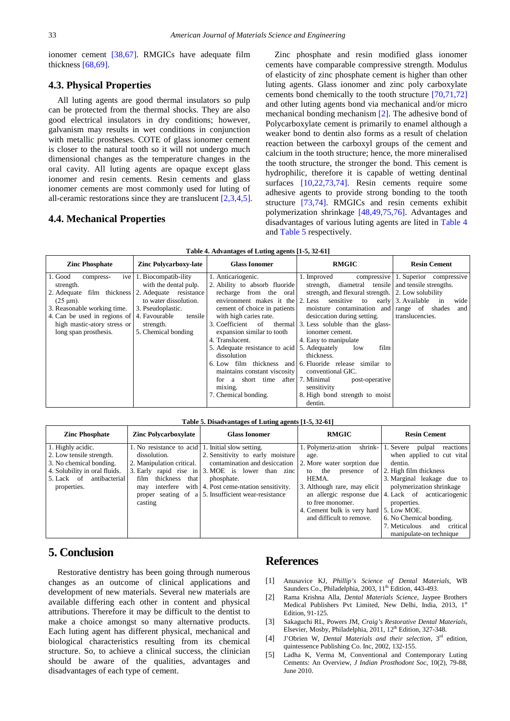ionomer cement [\[38,67\].](#page-6-11) RMGICs have adequate film thickness [\[68,69\].](#page-7-2)

## **4.3. Physical Properties**

All luting agents are good thermal insulators so pulp can be protected from the thermal shocks. They are also good electrical insulators in dry conditions; however, galvanism may results in wet conditions in conjunction with metallic prostheses. COTE of glass ionomer cement is closer to the natural tooth so it will not undergo much dimensional changes as the temperature changes in the oral cavity. All luting agents are opaque except glass ionomer and resin cements. Resin cements and glass ionomer cements are most commonly used for luting of all-ceramic restorations since they are translucent [\[2,3,4,5\].](#page-5-1)

## **4.4. Mechanical Properties**

Zinc phosphate and resin modified glass ionomer cements have comparable compressive strength. Modulus of elasticity of zinc phosphate cement is higher than other luting agents. Glass ionomer and zinc poly carboxylate cements bond chemically to the tooth structure [\[70,71,72\]](#page-7-3) and other luting agents bond via mechanical and/or micro mechanical bonding mechanism [\[2\].](#page-5-1) The adhesive bond of Polycarboxylate cement is primarily to enamel although a weaker bond to dentin also forms as a result of chelation reaction between the carboxyl groups of the cement and calcium in the tooth structure; hence, the more mineralised the tooth structure, the stronger the bond. This cement is hydrophilic, therefore it is capable of wetting dentinal surfaces [\[10,22,73,74\].](#page-6-12) Resin cements require some adhesive agents to provide strong bonding to the tooth structure [\[73,74\].](#page-7-4) RMGICs and resin cements exhibit polymerization shrinkage [\[48,49,75,76\].](#page-6-13) Advantages and disadvantages of various luting agents are lited in [Table 4](#page-5-5) and [Table 5](#page-5-6) respectively.

| Table 4. Advantages of Luting agents [1-5, 32-61] |  |
|---------------------------------------------------|--|
|---------------------------------------------------|--|

<span id="page-5-5"></span>

| <b>Zinc Phosphate</b>                                                                                                                                                                                                                                | <b>Zinc Polycarboxy-late</b>                                                                                                               | <b>Glass Ionomer</b>                                                                                                                                                                                                                                                                                                                              | <b>RMGIC</b>                                                                                                                                                                                                                                                                                                                                                                                                                                                                                                                                                                                           | <b>Resin Cement</b>                                                         |
|------------------------------------------------------------------------------------------------------------------------------------------------------------------------------------------------------------------------------------------------------|--------------------------------------------------------------------------------------------------------------------------------------------|---------------------------------------------------------------------------------------------------------------------------------------------------------------------------------------------------------------------------------------------------------------------------------------------------------------------------------------------------|--------------------------------------------------------------------------------------------------------------------------------------------------------------------------------------------------------------------------------------------------------------------------------------------------------------------------------------------------------------------------------------------------------------------------------------------------------------------------------------------------------------------------------------------------------------------------------------------------------|-----------------------------------------------------------------------------|
| 1. Good<br>ive<br>compress-<br>strength.<br>2. Adequate film thickness 2. Adequate resistance<br>$(25 \mu m)$ .<br>3. Reasonable working time.<br>4. Can be used in regions of 4. Favourable<br>high mastic-atory stress or<br>long span prosthesis. | 1. Biocompatib-ility<br>with the dental pulp.<br>to water dissolution.<br>3. Pseudoplastic.<br>tensile<br>strength.<br>5. Chemical bonding | 1. Anticariogenic.<br>2. Ability to absorb fluoride<br>recharge from the oral<br>cement of choice in patients<br>with high caries rate.<br>expansion similar to tooth<br>4. Translucent.<br>5. Adequate resistance to acid 5. Adequately<br>dissolution<br>maintains constant viscosity<br>short time<br>for a<br>mixing.<br>7. Chemical bonding. | 1. Improved<br>strength, diametral tensile and tensile strengths.<br>strength, and flexural strength. 2. Low solubility<br>environment makes it the $\vert$ 2. Less sensitive to early $\vert$ 3. Available<br>moisture contamination and range of shades<br>desiccation during setting.<br>3. Coefficient of thermal 3. Less soluble than the glass-<br>ionomer cement.<br>4. Easy to manipulate<br>film<br>low<br>thickness.<br>6. Low film thickness and 6. Fluoride release similar to<br>conventional GIC.<br>after 7. Minimal<br>post-operative<br>sensitivity<br>8. High bond strength to moist | compressive 1. Superior compressive<br>wide<br>in<br>and<br>translucencies. |
|                                                                                                                                                                                                                                                      |                                                                                                                                            |                                                                                                                                                                                                                                                                                                                                                   | dentin.                                                                                                                                                                                                                                                                                                                                                                                                                                                                                                                                                                                                |                                                                             |

#### **Table 5. Disadvantages of Luting agents [1-5, 32-61]**

<span id="page-5-6"></span>

| <b>Zinc Phosphate</b>         | <b>Zinc Polycarboxylate</b>                       | <b>Glass Ionomer</b>                                | <b>RMGIC</b>                            | <b>Resin Cement</b>                                     |
|-------------------------------|---------------------------------------------------|-----------------------------------------------------|-----------------------------------------|---------------------------------------------------------|
| 1. Highly acidic.             | 1. No resistance to acid 1. Initial slow setting. |                                                     | 1. Polymeriz-ation                      | shrink- 1. Severe<br>pulpal<br>reactions                |
| 2. Low tensile strength.      | dissolution.                                      | 2. Sensitivity to early moisture                    | age.                                    | when applied to cut vital                               |
| 3. No chemical bonding.       | 2. Manipulation critical.                         | contamination and desiccation                       | 2. More water sorption due              | dentin.                                                 |
| 4. Solubility in oral fluids. |                                                   | 3. Early rapid rise in 3. MOE is lower than zinc    | to the<br>presence                      | of 2. High film thickness                               |
| antibacterial<br>5. Lack of   | that<br>thickness<br>film                         | phosphate.                                          | HEMA.                                   | 3. Marginal leakage due to                              |
| properties.                   | may                                               | interfere with 4. Post ceme-ntation sensitivity.    |                                         | 3. Although rare, may elicit   polymerization shrinkage |
|                               |                                                   | proper seating of a 5. Insufficient wear-resistance |                                         | an allergic response due 4. Lack of acnticariogenic     |
|                               | casting                                           |                                                     | to free monomer.                        | properties.                                             |
|                               |                                                   |                                                     | 4. Cement bulk is very hard 5. Low MOE. |                                                         |
|                               |                                                   |                                                     | and difficult to remove.                | 6. No Chemical bonding.                                 |
|                               |                                                   |                                                     |                                         | 7. Meticulous<br>critical<br>and                        |
|                               |                                                   |                                                     |                                         | manipulate-on technique                                 |

# **5. Conclusion**

Restorative dentistry has been going through numerous changes as an outcome of clinical applications and development of new materials. Several new materials are available differing each other in content and physical attributions. Therefore it may be difficult to the dentist to make a choice amongst so many alternative products. Each luting agent has different physical, mechanical and biological characteristics resulting from its chemical structure. So, to achieve a clinical success, the clinician should be aware of the qualities, advantages and disadvantages of each type of cement.

# **References**

- <span id="page-5-0"></span>[1] Anusavice KJ, *Phillip's Science of Dental Materials*, WB Saunders Co., Philadelphia, 2003, 11<sup>th</sup> Edition, 443-493.
- <span id="page-5-1"></span>[2] Rama Krishna Alla, *Dental Materials Science*, Jaypee Brothers Medical Publishers Pvt Limited, New Delhi, India, 2013, 1st Edition, 91-125.
- <span id="page-5-2"></span>[3] Sakaguchi RL, Powers JM, *Craig's Restorative Dental Materials*, Elsevier, Mosby, Philadelphia, 2011,  $12^{th}$  Edition, 327-348.
- <span id="page-5-3"></span>[4] J'Obrien W, *Dental Materials and their selection*, 3rd edition, quintessence Publishing Co. Inc, 2002, 132-155.
- <span id="page-5-4"></span>[5] Ladha K, Verma M, Conventional and Contemporary Luting Cements: An Overview, *J Indian Prosthodont Soc*, 10(2), 79-88, June 2010.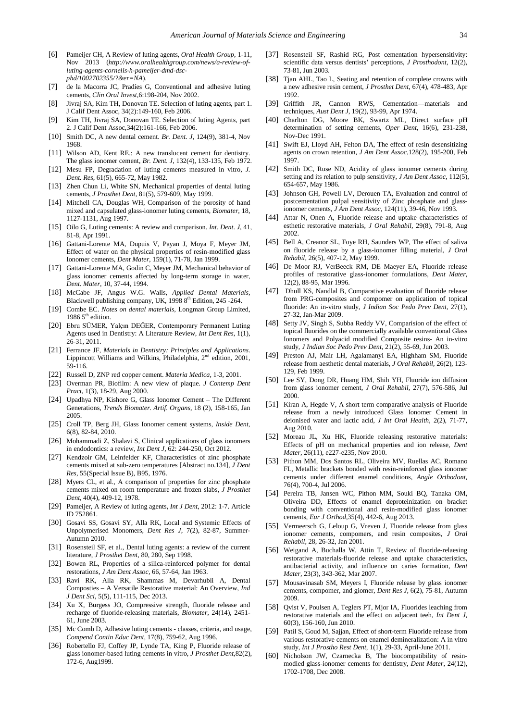- [6] Pameijer CH, A Review of luting agents, *Oral Health Group*, 1-11, Nov 2013 (*http://www.oralhealthgroup.com/news/a-review-ofluting-agents-cornelis-h-pameijer-dmd-dscphd/1002702355/?&er=NA*).
- [7] de la Macorra JC, Pradíes G, Conventional and adhesive luting cements, *Clin Oral Invest*,6:198-204, Nov 2002.
- [8] Jivraj SA, Kim TH, Donovan TE. Selection of luting agents, part 1. J Calif Dent Assoc, 34(2):149-160, Feb 2006.
- [9] Kim TH, Jivraj SA, Donovan TE. Selection of luting Agents, part 2. J Calif Dent Assoc,34(2):161-166, Feb 2006.
- <span id="page-6-12"></span>[10] Smith DC, A new dental cement. *Br. Dent. J*, 124(9), 381-4, Nov 1968.
- [11] Wilson AD, Kent RE.: A new translucent cement for dentistry. The glass ionomer cement, *Br. Dent. J*, 132(4), 133-135, Feb 1972.
- <span id="page-6-0"></span>[12] Mesu FP, Degradation of luting cements measured in vitro, *J. Dent. Res*, 61(5), 665-72, May 1982.
- [13] Zhen Chun Li, White SN, Mechanical properties of dental luting cements, *J Prosthet Dent*, 81(5), 579-609, May 1999.
- [14] Mitchell CA, Douglas WH, Comparison of the porosity of hand mixed and capsulated glass-ionomer luting cements, *Biomater*, 18, 1127-1131, Aug 1997.
- [15] Oilo G, Luting cements: A review and comparison. *Int. Dent. J*, 41, 81-8, Apr 1991.
- [16] Gattani-Lorente MA, Dupuis V, Payan J, Moya F, Meyer JM, Effect of water on the physical properties of resin-modified glass Ionomer cements, *Dent Mater*, 159(1), 71-78, Jan 1999.
- [17] Gattani-Lorente MA, Godin C, Meyer JM, Mechanical behavior of glass ionomer cements affected by long-term storage in water, *Dent. Mater*, 10, 37-44, 1994.
- [18] McCabe JF, Angus W.G. Walls, *Applied Dental Materials*, Blackwell publishing company, UK, 1998 8<sup>th</sup> Edition, 245 -264.
- [19] Combe EC. *Notes on dental materials*, Longman Group Limited, 1986  $5<sup>th</sup>$  edition.
- [20] Ebru SÜMER, Yalçın DEĞER, Contemporary Permanent Luting Agents used in Dentistry: A Literature Review, *Int Dent Res*, 1(1), 26-31, 2011.
- <span id="page-6-1"></span>[21] Ferrance JF, *Materials in Dentistry: Principles and Applications*. Lippincott Williams and Wilkins, Philadelphia,  $2<sup>nd</sup>$  edition, 2001, 59-116.
- [22] Russell D, ZNP red copper cement. *Materia Medica*, 1-3, 2001.
- [23] Overman PR, Biofilm: A new view of plaque. *J Contemp Dent Pract*, 1(3), 18-29, Aug 2000.
- [24] Upadhya NP, Kishore G, Glass Ionomer Cement The Different Generations, *Trends Biomater. Artif. Organs*, 18 (2), 158-165, Jan 2005.
- [25] Croll TP, Berg JH, Glass Ionomer cement systems, *Inside Dent*, 6(8), 82-84, 2010.
- [26] Mohammadi Z, Shalavi S, Clinical applications of glass ionomers in endodontics: a review, *Int Dent J,* 62: 244-250, Oct 2012.
- <span id="page-6-2"></span>[27] Kendzoir GM, Leinfelder KF, Characteristics of zinc phosphate cements mixed at sub-zero temperatures [Abstract no.134], *J Dent Res*, 55(Special Issue B), B95, 1976.
- <span id="page-6-10"></span>[28] Myers CL, et al., A comparison of properties for zinc phosphate cements mixed on room temperature and frozen slabs, *J Prosthet Dent,* 40(4), 409-12, 1978.
- <span id="page-6-3"></span>[29] Pameijer, A Review of luting agents, *Int J Dent*, 2012: 1-7. Article ID 752861.
- <span id="page-6-4"></span>[30] Gosavi SS, Gosavi SY, Alla RK, Local and Systemic Effects of Unpolymerised Monomers, *Dent Res J*, 7(2), 82-87, Summer-Autumn 2010.
- [31] Rosensteil SF, et al., Dental luting agents: a review of the current literature, *J Prosthet Dent,* 80, 280, Sep 1998.
- [32] Bowen RL, Properties of a silica-reinforced polymer for dental restorations, *J Am Dent Assoc,* 66, 57-64, Jan 1963.
- [33] Ravi RK, Alla RK, Shammas M, Devarhubli A, Dental Composties – A Versatile Restorative material: An Overview, *Ind J Dent Sci*, 5(5), 111-115, Dec 2013.
- <span id="page-6-5"></span>[34] Xu X, Burgess JO, Compressive strength, fluoride release and recharge of fluoride-releasing materials, *Biomater*, 24(14), 2451- 61, June 2003.
- [35] Mc Comb D, Adhesive luting cements classes, criteria, and usage, *Compend Contin Educ Dent,* 17(8), 759-62, Aug 1996.
- [36] Robertello FJ, Coffey JP, Lynde TA, King P, Fluoride release of glass ionomer-based luting cements in vitro, *J Prosthet Dent,*82(2), 172-6, Aug1999.
- <span id="page-6-6"></span>[37] Rosensteil SF, Rashid RG, Post cementation hypersensitivity: scientific data versus dentists' perceptions, *J Prosthodont*, 12(2), 73-81, Jun 2003.
- <span id="page-6-11"></span>[38] Tjan AHL, Tao L, Seating and retention of complete crowns with a new adhesive resin cement, *J Prosthet Dent*, 67(4), 478-483, Apr 1992.
- [39] Griffith JR, Cannon RWS, Cementation—materials and techniques, *Aust Dent J*, 19(2), 93-99, Apr 1974.
- [40] Charlton DG, Moore BK, Swartz ML, Direct surface pH determination of setting cements, *Oper Dent*, 16(6), 231-238, Nov-Dec 1991.
- <span id="page-6-7"></span>[41] Swift EJ, Lloyd AH, Felton DA, The effect of resin desensitizing agents on crown retention, *J Am Dent Assoc,*128(2), 195-200, Feb 1997.
- <span id="page-6-8"></span>[42] Smith DC, Ruse ND, Acidity of glass ionomer cements during setting and its relation to pulp sensitivity, *J Am Dent Assoc*, 112(5), 654-657, May 1986.
- [43] Johnson GH, Powell LV, Derouen TA, Evaluation and control of postcementation pulpal sensitivity of Zinc phosphate and glassionomer cements, *J Am Dent Assoc*, 124(11), 39-46, Nov 1993.
- <span id="page-6-9"></span>[44] Attar N, Onen A, Fluoride release and uptake characteristics of esthetic restorative materials, *J Oral Rehabil*, 29(8), 791-8, Aug 2002.
- [45] Bell A, Creanor SL, Foye RH, Saunders WP, The effect of saliva on fluoride release by a glass-ionomer filling material, *J Oral Rehabil*, 26(5), 407-12, May 1999.
- [46] De Moor RJ, VerBeeck RM, DE Maeyer EA, Fluoride release profiles of restorative glass-ionomer formulations, *Dent Mater*, 12(2), 88-95, Mar 1996.
- [47] Dhull KS, Nandlal B, Comparative evaluation of fluoride release from PRG-composites and compomer on application of topical fluoride: An in-vitro study, *J Indian Soc Pedo Prev Dent,* 27(1), 27-32, Jan-Mar 2009.
- <span id="page-6-13"></span>[48] Setty JV, Singh S, Subba Reddy VV, Comparision of the effect of topical fluorides on the commercially available conventional Glass Ionomers and Polyacid modified Composite resins- An in-vitro study, *J Indian Soc Pedo Prev Dent*, 21(2), 55-69, Jun 2003.
- [49] Preston AJ, Mair LH, Agalamanyi EA, Highham SM, Fluoride release from aesthetic dental materials, *J Oral Rehabil,* 26(2), 123- 129, Feb 1999.
- [50] Lee SY, Dong DR, Huang HM, Shih YH, Fluoride ion diffusion from glass ionomer cement, *J Oral Rehabil,* 27(7), 576-586, Jul 2000.
- [51] Kiran A, Hegde V, A short term comparative analysis of Fluoride release from a newly introduced Glass Ionomer Cement in deionised water and lactic acid, *J Int Oral Health*, 2(2), 71-77, Aug 2010.
- [52] Moreau JL, Xu HK, Fluoride releasing restorative materials: Effects of pH on mechanical properties and ion release, *Dent Mater*, 26(11), e227-e235, Nov 2010.
- [53] Pithon MM, Dos Santos RL, Oliveira MV, Ruellas AC, Romano FL, Metallic brackets bonded with resin-reinforced glass ionomer cements under different enamel conditions, *Angle Orthodont,*  76(4), 700-4, Jul 2006.
- [54] Pereira TB, Jansen WC, Pithon MM, Souki BQ, Tanaka OM, Oliveira DD, Effects of enamel deproteinization on bracket bonding with conventional and resin-modified glass ionomer cements, *Eur J Orthod,*35(4), 442-6, Aug 2013.
- [55] Vermeersch G, Leloup G, Vreven J, Fluoride release from glass ionomer cements, compomers, and resin composites, *J Oral Rehabil*, 28, 26-32, Jan 2001.
- [56] Weigand A, Buchalla W, Attin T, Review of fluoride-relaesing restorative materials-fluoride release and uptake characteristics, antibacterial activity, and influence on caries formation, *Dent Mater,* 23(3), 343-362, Mar 2007.
- [57] Mousavinasab SM, Meyers I, Fluoride release by glass ionomer cements, compomer, and giomer, *Dent Res J,* 6(2), 75-81, Autumn 2009.
- [58] Qvist V, Poulsen A, Teglers PT, Mjor IA, Fluorides leaching from restorative materials and the effect on adjacent teeh, *Int Dent J,*  60(3), 156-160, Jun 2010.
- [59] Patil S, Goud M, Sajjan, Effect of short-term Fluoride release from various restorative cements on enamel demineralization: A in vitro study, *Int J Prostho Rest Dent,* 1(1), 29-33, April-June 2011.
- [60] Nicholson JW, Czarnecka B, The biocompatibility of resinmodied glass-ionomer cements for dentistry, *Dent Mater*, 24(12), 1702-1708, Dec 2008.